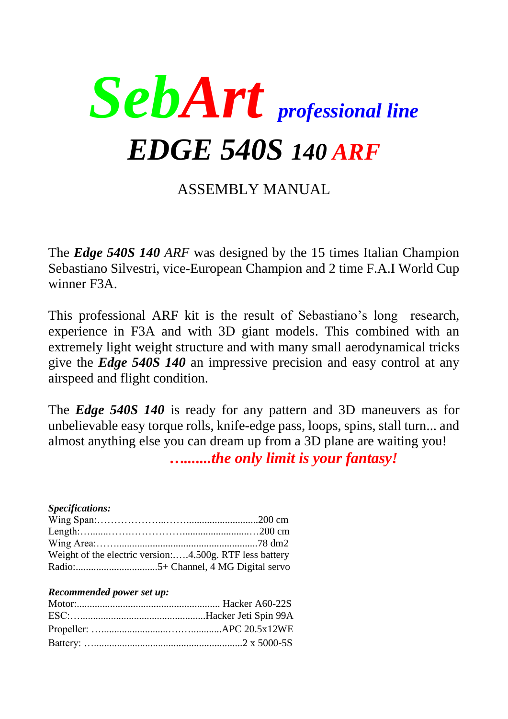

# ASSEMBLY MANUAL

The *Edge 540S 140 ARF* was designed by the 15 times Italian Champion Sebastiano Silvestri, vice-European Champion and 2 time F.A.I World Cup winner F3A.

This professional ARF kit is the result of Sebastiano's long research, experience in F3A and with 3D giant models. This combined with an extremely light weight structure and with many small aerodynamical tricks give the *Edge 540S 140* an impressive precision and easy control at any airspeed and flight condition.

The *Edge 540S 140* is ready for any pattern and 3D maneuvers as for unbelievable easy torque rolls, knife-edge pass, loops, spins, stall turn... and almost anything else you can dream up from a 3D plane are waiting you!

*….......the only limit is your fantasy!*

#### *Specifications:*

| Weight of the electric version:4.500g. RTF less battery |  |
|---------------------------------------------------------|--|
|                                                         |  |

#### *Recommended power set up:*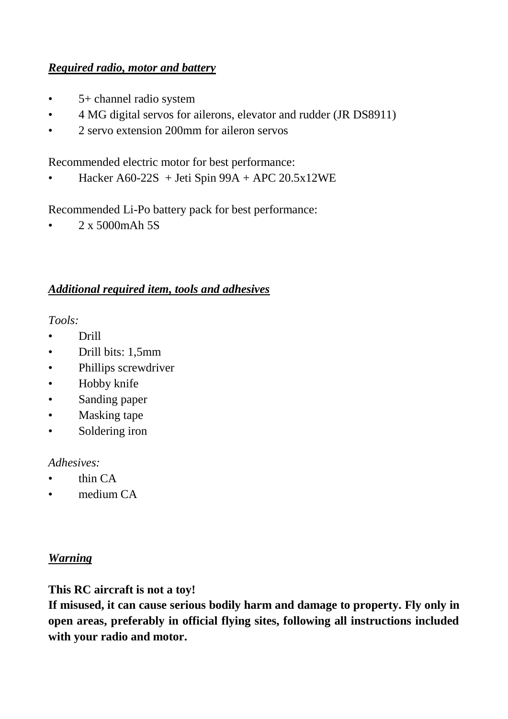### *Required radio, motor and battery*

- 5+ channel radio system
- 4 MG digital servos for ailerons, elevator and rudder (JR DS8911)
- 2 servo extension 200mm for aileron servos

Recommended electric motor for best performance:

• Hacker A60-22S + Jeti Spin  $99A + APC$  20.5x12WE

Recommended Li-Po battery pack for best performance:

• 2 x 5000mAh 5S

### *Additional required item, tools and adhesives*

*Tools:*

- Drill
- Drill bits: 1,5mm
- Phillips screwdriver
- Hobby knife
- Sanding paper
- Masking tape
- Soldering iron

#### *Adhesives:*

- thin CA
- medium CA

### *Warning*

**This RC aircraft is not a toy!**

**If misused, it can cause serious bodily harm and damage to property. Fly only in open areas, preferably in official flying sites, following all instructions included with your radio and motor.**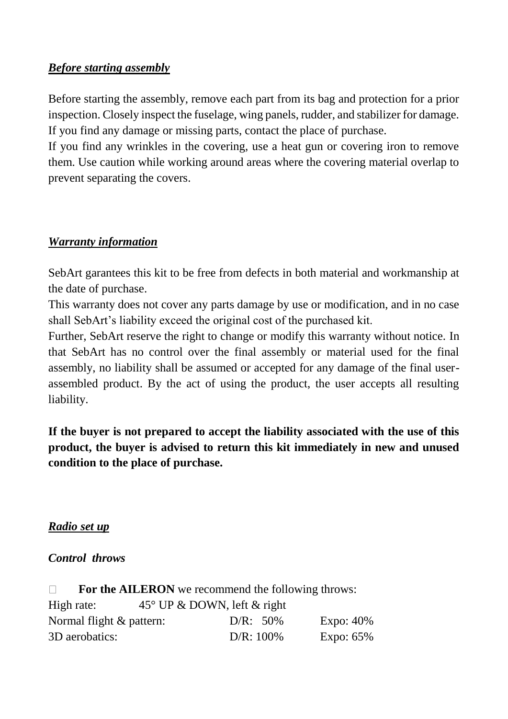### *Before starting assembly*

Before starting the assembly, remove each part from its bag and protection for a prior inspection. Closely inspect the fuselage, wing panels, rudder, and stabilizer for damage. If you find any damage or missing parts, contact the place of purchase.

If you find any wrinkles in the covering, use a heat gun or covering iron to remove them. Use caution while working around areas where the covering material overlap to prevent separating the covers.

### *Warranty information*

SebArt garantees this kit to be free from defects in both material and workmanship at the date of purchase.

This warranty does not cover any parts damage by use or modification, and in no case shall SebArt's liability exceed the original cost of the purchased kit.

Further, SebArt reserve the right to change or modify this warranty without notice. In that SebArt has no control over the final assembly or material used for the final assembly, no liability shall be assumed or accepted for any damage of the final userassembled product. By the act of using the product, the user accepts all resulting liability.

**If the buyer is not prepared to accept the liability associated with the use of this product, the buyer is advised to return this kit immediately in new and unused condition to the place of purchase.**

#### *Radio set up*

#### *Control throws*

| $\mathbb{R}$             | For the AILERON we recommend the following throws: |              |              |
|--------------------------|----------------------------------------------------|--------------|--------------|
| High rate:               | $45^{\circ}$ UP & DOWN, left & right               |              |              |
| Normal flight & pattern: |                                                    | $D/R: 50\%$  | Expo: $40\%$ |
| 3D aerobatics:           |                                                    | $D/R: 100\%$ | Expo: $65\%$ |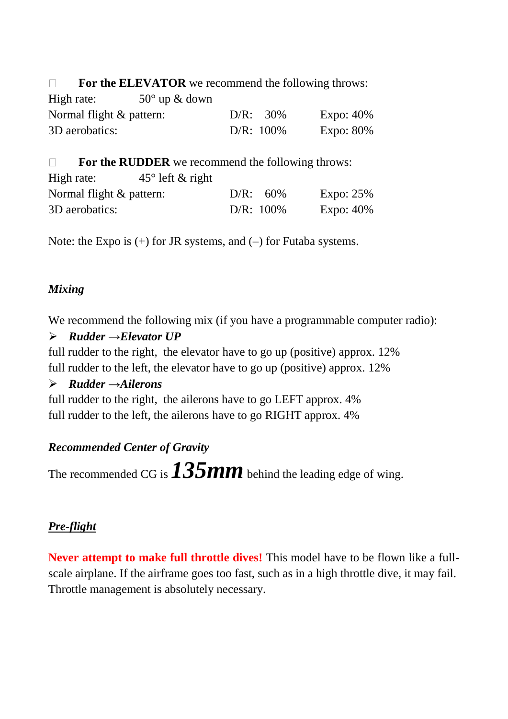For the ELEVATOR we recommend the following throws:  $\Box$ 

| High rate:                  | $50^{\circ}$ up & down |              |              |
|-----------------------------|------------------------|--------------|--------------|
| Normal flight $\&$ pattern: |                        | $D/R: 30\%$  | Expo: $40\%$ |
| 3D aerobatics:              |                        | $D/R: 100\%$ | Expo: $80\%$ |

 $\Box$ **For the RUDDER** we recommend the following throws: High rate:  $45^\circ$  left & right Normal flight & pattern:  $D/R$ : 60% Expo: 25% 3D aerobatics:  $D/R: 100\%$  Expo: 40%

Note: the Expo is  $(+)$  for JR systems, and  $(-)$  for Futaba systems.

## *Mixing*

We recommend the following mix (if you have a programmable computer radio):

## *Rudder →Elevator UP*

full rudder to the right, the elevator have to go up (positive) approx. 12% full rudder to the left, the elevator have to go up (positive) approx. 12%

### *Rudder →Ailerons*

full rudder to the right, the ailerons have to go LEFT approx. 4% full rudder to the left, the ailerons have to go RIGHT approx. 4%

## *Recommended Center of Gravity*

The recommended CG is  $135mm$  behind the leading edge of wing.

## *Pre-flight*

**Never attempt to make full throttle dives!** This model have to be flown like a fullscale airplane. If the airframe goes too fast, such as in a high throttle dive, it may fail. Throttle management is absolutely necessary.